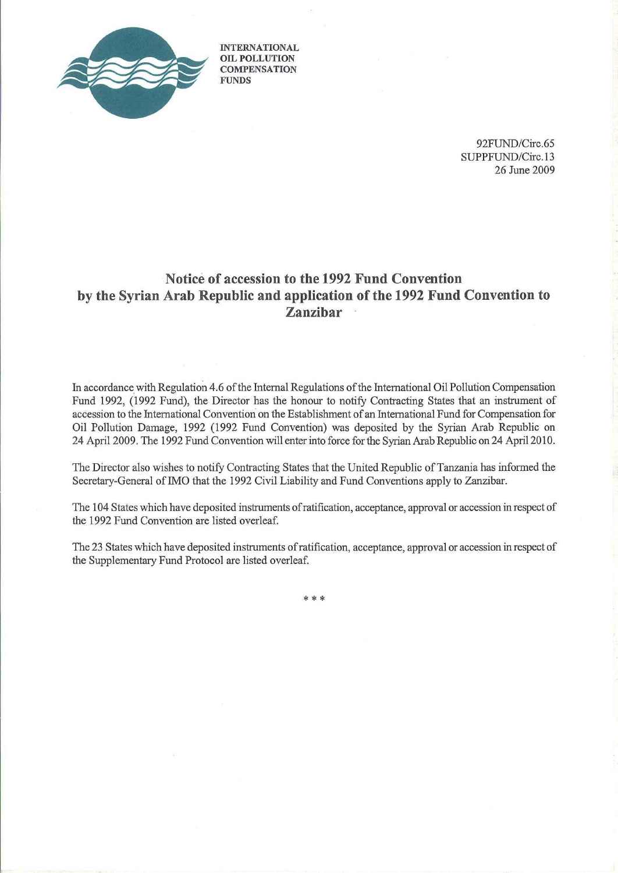

**INTERNATIONAL OIL POLLUTION COMPENSATION FUNDS**

> 92FUND/Circ.65 SUPPFUND/Circ.13 26 June 2009

## **Notice of accession to the 1992 Fund Convention by the Syrian Arab Republic and application of the 1992 Fund Convention to Zanzibar**

In accordance with Regulation 4,6 ofthe Internal Regulations ofthe International Oil Pollution Compensation Fund 1992, (1992 Fund), the Director has the honour to notify Contracting States that an instrument of accession to the International Convention on the Establishment of an International Fund for Compensation for Oil Pollution Damage, 1992 (1992 Fund Convention) was deposited by the Syrian Arab Republic on 24 April 2009. The 1992 Fund Convention will enter into force for the Syrian Arab Republic on 24 April 2010.

The Director also wishes to notify Contracting States that the United Republic of Tanzania has informed the Secretary-General of IMO that the 1992 Civil Liability and Fund Conventions apply to Zanzibar.

The 104 States which have deposited instruments ofratification, acceptance, approval or accession in respect of the 1992 Fund Convention are listed overleaf.

The 23 States which have deposited instruments ofratification, acceptance, approval or accession in respect of the Supplementary Fund Protocol are listed overleaf.

\*\*\*